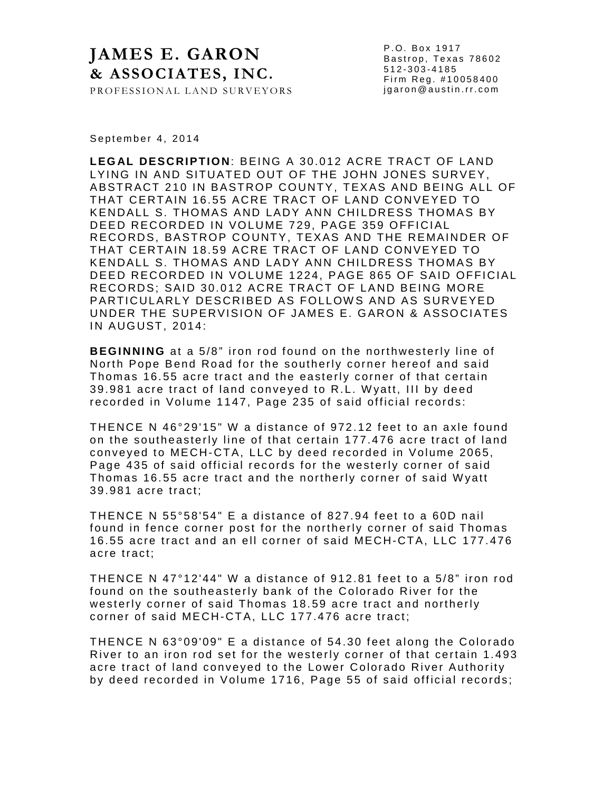## **JAMES E. GARON** & ASSOCIATES, INC.

PROFESSIONAL LAND SURVEYORS

P.O. Box 1917 Bastrop, Texas 78602<br>512-303-4185<br>Firm Reg. #10058400 jgaron@austin.rr.com

September 4, 2014

**LEGAL DESCRIPTION: BEING A 30.012 ACRE TRACT OF LAND** LYING IN AND SITUATED OUT OF THE JOHN JONES SURVEY, ABSTRACT 210 IN BASTROP COUNTY, TEXAS AND BEING ALL OF THAT CERTAIN 16.55 ACRE TRACT OF LAND CONVEYED TO KENDALL S. THOMAS AND LADY ANN CHILDRESS THOMAS BY DEED RECORDED IN VOLUME 729, PAGE 359 OFFICIAL RECORDS, BASTROP COUNTY, TEXAS AND THE REMAINDER OF THAT CERTAIN 18.59 ACRE TRACT OF LAND CONVEYED TO KENDALL S. THOMAS AND LADY ANN CHILDRESS THOMAS BY DEED RECORDED IN VOLUME 1224, PAGE 865 OF SAID OFFICIAL RECORDS: SAID 30.012 ACRE TRACT OF LAND BEING MORE PARTICULARLY DESCRIBED AS FOLLOWS AND AS SURVEYED UNDER THE SUPERVISION OF JAMES E. GARON & ASSOCIATES IN AUGUST. 2014:

BEGINNING at a 5/8" iron rod found on the northwesterly line of North Pope Bend Road for the southerly corner hereof and said Thomas 16.55 acre tract and the easterly corner of that certain 39.981 acre tract of land conveyed to R.L. Wyatt, III by deed recorded in Volume 1147, Page 235 of said official records:

THENCE N 46°29'15" W a distance of 972.12 feet to an axle found on the southeasterly line of that certain 177.476 acre tract of land conveyed to MECH-CTA, LLC by deed recorded in Volume 2065, Page 435 of said official records for the westerly corner of said Thomas 16.55 acre tract and the northerly corner of said Wyatt 39.981 acre tract:

THENCE N 55°58'54" E a distance of 827.94 feet to a 60D nail found in fence corner post for the northerly corner of said Thomas 16.55 acre tract and an ell corner of said MECH-CTA, LLC 177.476 acre tract:

THENCE N 47°12'44" W a distance of 912.81 feet to a 5/8" iron rod found on the southeasterly bank of the Colorado River for the westerly corner of said Thomas 18.59 acre tract and northerly corner of said MECH-CTA, LLC 177.476 acre tract;

THENCE N 63°09'09" E a distance of 54.30 feet along the Colorado River to an iron rod set for the westerly corner of that certain 1.493 acre tract of land conveyed to the Lower Colorado River Authority by deed recorded in Volume 1716, Page 55 of said official records;